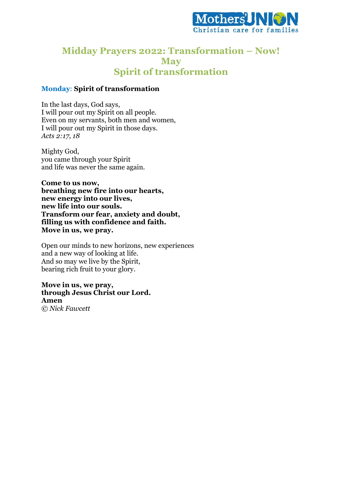

## **Midday Prayers 2022: Transformation – Now! May Spirit of transformation**

### **Monday**: **Spirit of transformation**

In the last days, God says, I will pour out my Spirit on all people. Even on my servants, both men and women, I will pour out my Spirit in those days. *Acts 2:17, 18*

Mighty God, you came through your Spirit and life was never the same again.

**Come to us now, breathing new fire into our hearts, new energy into our lives, new life into our souls. Transform our fear, anxiety and doubt, filling us with confidence and faith. Move in us, we pray.**

Open our minds to new horizons, new experiences and a new way of looking at life. And so may we live by the Spirit, bearing rich fruit to your glory.

**Move in us, we pray, through Jesus Christ our Lord. Amen**  *© Nick Fawcett*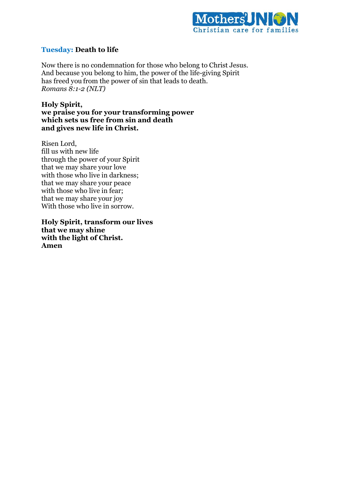

### **Tuesday: Death to life**

Now there is no condemnation for those who belong to Christ Jesus. And because you belong to him, the power of the life-giving Spirit has freed you from the power of sin that leads to death. *Romans 8:1-2 (NLT)*

**Holy Spirit, we praise you for your transforming power which sets us free from sin and death and gives new life in Christ.**

Risen Lord, fill us with new life through the power of your Spirit that we may share your love with those who live in darkness; that we may share your peace with those who live in fear; that we may share your joy With those who live in sorrow.

**Holy Spirit, transform our lives that we may shine with the light of Christ. Amen**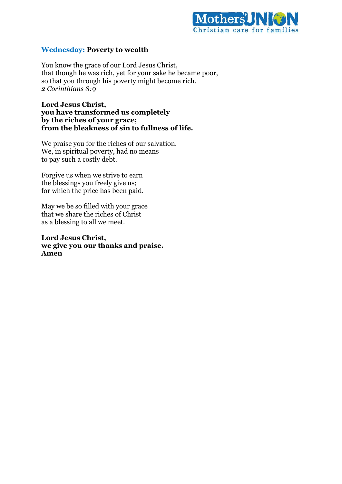

### **Wednesday: Poverty to wealth**

You know the grace of our Lord Jesus Christ, that though he was rich, yet for your sake he became poor, so that you through his poverty might become rich. *2 Corinthians 8:9*

**Lord Jesus Christ, you have transformed us completely by the riches of your grace; from the bleakness of sin to fullness of life.** 

We praise you for the riches of our salvation. We, in spiritual poverty, had no means to pay such a costly debt.

Forgive us when we strive to earn the blessings you freely give us; for which the price has been paid.

May we be so filled with your grace that we share the riches of Christ as a blessing to all we meet.

**Lord Jesus Christ, we give you our thanks and praise. Amen**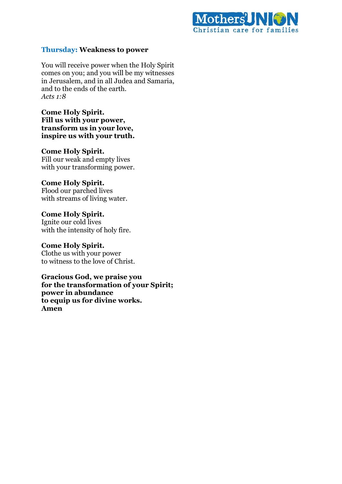

### **Thursday: Weakness to power**

You will receive power when the Holy Spirit comes on you; and you will be my witnesses in Jerusalem, and in all Judea and Samaria, and to the ends of the earth. *Acts 1:8*

**Come Holy Spirit. Fill us with your power, transform us in your love, inspire us with your truth.**

#### **Come Holy Spirit.**

Fill our weak and empty lives with your transforming power.

#### **Come Holy Spirit.**

Flood our parched lives with streams of living water.

**Come Holy Spirit.** Ignite our cold lives with the intensity of holy fire.

**Come Holy Spirit.**

Clothe us with your power to witness to the love of Christ.

**Gracious God, we praise you for the transformation of your Spirit; power in abundance to equip us for divine works. Amen**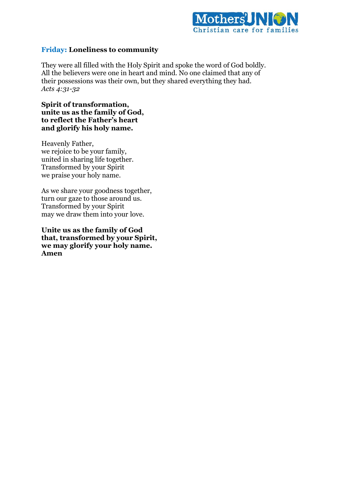

### **Friday: Loneliness to community**

They were all filled with the Holy Spirit and spoke the word of God boldly. All the believers were one in heart and mind. No one claimed that any of their possessions was their own, but they shared everything they had. *Acts 4:31-32*

**Spirit of transformation, unite us as the family of God, to reflect the Father's heart and glorify his holy name.** 

Heavenly Father, we rejoice to be your family, united in sharing life together. Transformed by your Spirit we praise your holy name.

As we share your goodness together, turn our gaze to those around us. Transformed by your Spirit may we draw them into your love.

**Unite us as the family of God that, transformed by your Spirit, we may glorify your holy name. Amen**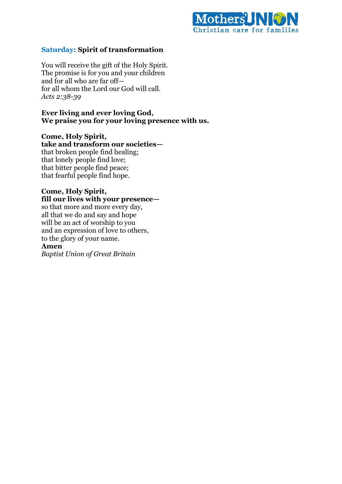

### **Saturday: Spirit of transformation**

You will receive the gift of the Holy Spirit. The promise is for you and your children and for all who are far off for all whom the Lord our God will call. *Acts 2:38-39*

### **Ever living and ever loving God, We praise you for your loving presence with us.**

# **Come, Holy Spirit,**

**take and transform our societies** that broken people find healing; that lonely people find love; that bitter people find peace; that fearful people find hope.

### **Come, Holy Spirit, fill our lives with your presence—**

so that more and more every day, all that we do and say and hope will be an act of worship to you and an expression of love to others, to the glory of your name.

### **Amen**

*Baptist Union of Great Britain*